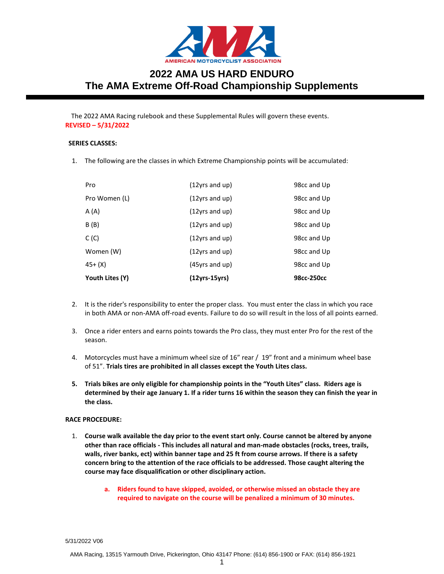

# **2022 AMA US HARD ENDURO The AMA Extreme Off-Road Championship Supplements**

The 2022 AMA Racing rulebook and these Supplemental Rules will govern these events. **REVISED – 5/31/2022**

# **SERIES CLASSES:**

1. The following are the classes in which Extreme Championship points will be accumulated:

| Youth Lites (Y) | $(12yrs-15yrs)$   | 98cc-250cc  |
|-----------------|-------------------|-------------|
| 45+ (X)         | $(45$ yrs and up) | 98cc and Up |
| Women (W)       | $(12$ yrs and up) | 98cc and Up |
| C (C)           | $(12$ yrs and up) | 98cc and Up |
| B (B)           | $(12$ yrs and up) | 98cc and Up |
| A (A)           | $(12$ yrs and up) | 98cc and Up |
| Pro Women (L)   | $(12$ yrs and up) | 98cc and Up |
| Pro             | $(12$ yrs and up) | 98cc and Up |

- 2. It is the rider's responsibility to enter the proper class. You must enter the class in which you race in both AMA or non-AMA off-road events. Failure to do so will result in the loss of all points earned.
- 3. Once a rider enters and earns points towards the Pro class, they must enter Pro for the rest of the season.
- 4. Motorcycles must have a minimum wheel size of 16" rear / 19" front and a minimum wheel base of 51". **Trials tires are prohibited in all classes except the Youth Lites class.**
- **5. Trials bikes are only eligible for championship points in the "Youth Lites" class. Riders age is determined by their age January 1. If a rider turns 16 within the season they can finish the year in the class.**

# **RACE PROCEDURE:**

- 1. **Course walk available the day prior to the event start only. Course cannot be altered by anyone other than race officials - This includes all natural and man-made obstacles (rocks, trees, trails, walls, river banks, ect) within banner tape and 25 ft from course arrows. If there is a safety concern bring to the attention of the race officials to be addressed. Those caught altering the course may face disqualification or other disciplinary action.**
	- **a. Riders found to have skipped, avoided, or otherwise missed an obstacle they are required to navigate on the course will be penalized a minimum of 30 minutes.**

5/31/2022 V06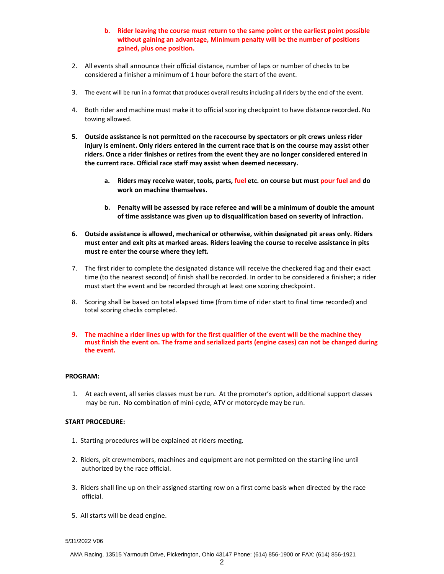# **b. Rider leaving the course must return to the same point or the earliest point possible without gaining an advantage, Minimum penalty will be the number of positions gained, plus one position.**

- 2. All events shall announce their official distance, number of laps or number of checks to be considered a finisher a minimum of 1 hour before the start of the event.
- 3. The event will be run in a format that produces overall results including all riders by the end of the event.
- 4. Both rider and machine must make it to official scoring checkpoint to have distance recorded. No towing allowed.
- **5. Outside assistance is not permitted on the racecourse by spectators or pit crews unless rider injury is eminent. Only riders entered in the current race that is on the course may assist other riders. Once a rider finishes or retires from the event they are no longer considered entered in the current race. Official race staff may assist when deemed necessary.**
	- **a. Riders may receive water, tools, parts, fuel etc. on course but must pour fuel and do work on machine themselves.**
	- **b. Penalty will be assessed by race referee and will be a minimum of double the amount of time assistance was given up to disqualification based on severity of infraction.**
- **6. Outside assistance is allowed, mechanical or otherwise, within designated pit areas only. Riders must enter and exit pits at marked areas. Riders leaving the course to receive assistance in pits must re enter the course where they left.**
- 7. The first rider to complete the designated distance will receive the checkered flag and their exact time (to the nearest second) of finish shall be recorded. In order to be considered a finisher; a rider must start the event and be recorded through at least one scoring checkpoint.
- 8. Scoring shall be based on total elapsed time (from time of rider start to final time recorded) and total scoring checks completed.
- **9. The machine a rider lines up with for the first qualifier of the event will be the machine they must finish the event on. The frame and serialized parts (engine cases) can not be changed during the event.**

### **PROGRAM:**

1. At each event, all series classes must be run. At the promoter's option, additional support classes may be run. No combination of mini-cycle, ATV or motorcycle may be run.

### **START PROCEDURE:**

- 1. Starting procedures will be explained at riders meeting.
- 2. Riders, pit crewmembers, machines and equipment are not permitted on the starting line until authorized by the race official.
- 3. Riders shall line up on their assigned starting row on a first come basis when directed by the race official.
- 5. All starts will be dead engine.

5/31/2022 V06